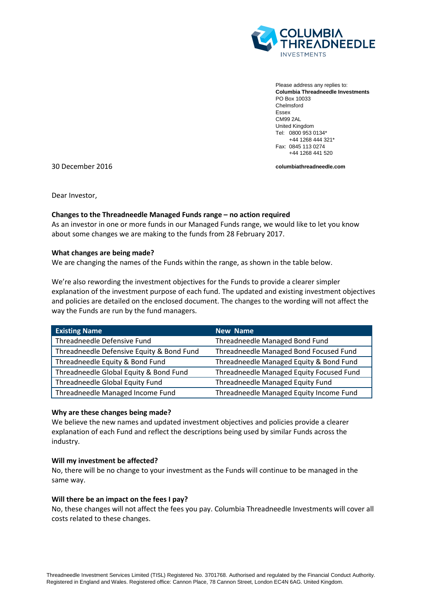

Please address any replies to: **Columbia Threadneedle Investments** PO Box 10033 Chelmsford Essex CM99 2AL United Kingdom Tel: 0800 953 0134\* +44 1268 444 321\* Fax: 0845 113 0274 +44 1268 441 520

30 December 2016

**columbiathreadneedle.com**

Dear Investor,

## **Changes to the Threadneedle Managed Funds range – no action required**

As an investor in one or more funds in our Managed Funds range, we would like to let you know about some changes we are making to the funds from 28 February 2017.

## **What changes are being made?**

We are changing the names of the Funds within the range, as shown in the table below.

We're also rewording the investment objectives for the Funds to provide a clearer simpler explanation of the investment purpose of each fund. The updated and existing investment objectives and policies are detailed on the enclosed document. The changes to the wording will not affect the way the Funds are run by the fund managers.

| <b>Existing Name</b>                      | <b>New Name</b>                          |
|-------------------------------------------|------------------------------------------|
| Threadneedle Defensive Fund               | Threadneedle Managed Bond Fund           |
| Threadneedle Defensive Equity & Bond Fund | Threadneedle Managed Bond Focused Fund   |
| Threadneedle Equity & Bond Fund           | Threadneedle Managed Equity & Bond Fund  |
| Threadneedle Global Equity & Bond Fund    | Threadneedle Managed Equity Focused Fund |
| Threadneedle Global Equity Fund           | Threadneedle Managed Equity Fund         |
| Threadneedle Managed Income Fund          | Threadneedle Managed Equity Income Fund  |

## **Why are these changes being made?**

We believe the new names and updated investment objectives and policies provide a clearer explanation of each Fund and reflect the descriptions being used by similar Funds across the industry.

## **Will my investment be affected?**

No, there will be no change to your investment as the Funds will continue to be managed in the same way.

## **Will there be an impact on the fees I pay?**

No, these changes will not affect the fees you pay. Columbia Threadneedle Investments will cover all costs related to these changes.